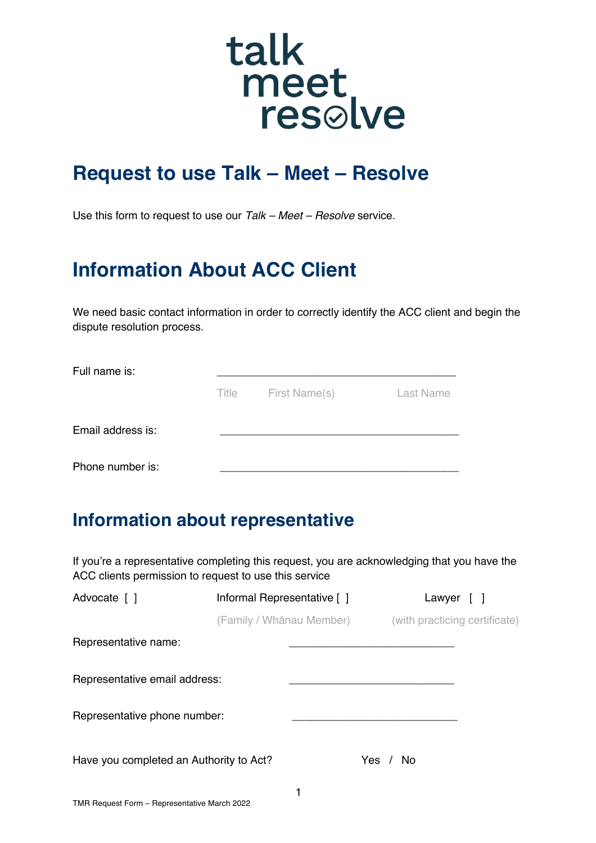# talk meet<br>resolve

## **Request to use Talk – Meet – Resolve**

Use this form to request to use our *Talk – Meet – Resolve* service.

# **Information About ACC Client**

We need basic contact information in order to correctly identify the ACC client and begin the dispute resolution process.

| Full name is:     |       |               |                  |
|-------------------|-------|---------------|------------------|
|                   | Title | First Name(s) | <b>Last Name</b> |
| Email address is: |       |               |                  |
| Phone number is:  |       |               |                  |

#### **Information about representative**

If you're a representative completing this request, you are acknowledging that you have the ACC clients permission to request to use this service

| Advocate [ ]                            | Informal Representative [ ]<br>(Family / Whānau Member) |  | Lawyer [ ]                    |  |  |
|-----------------------------------------|---------------------------------------------------------|--|-------------------------------|--|--|
|                                         |                                                         |  | (with practicing certificate) |  |  |
| Representative name:                    |                                                         |  |                               |  |  |
| Representative email address:           |                                                         |  |                               |  |  |
| Representative phone number:            |                                                         |  |                               |  |  |
| Have you completed an Authority to Act? |                                                         |  | Yes / No                      |  |  |